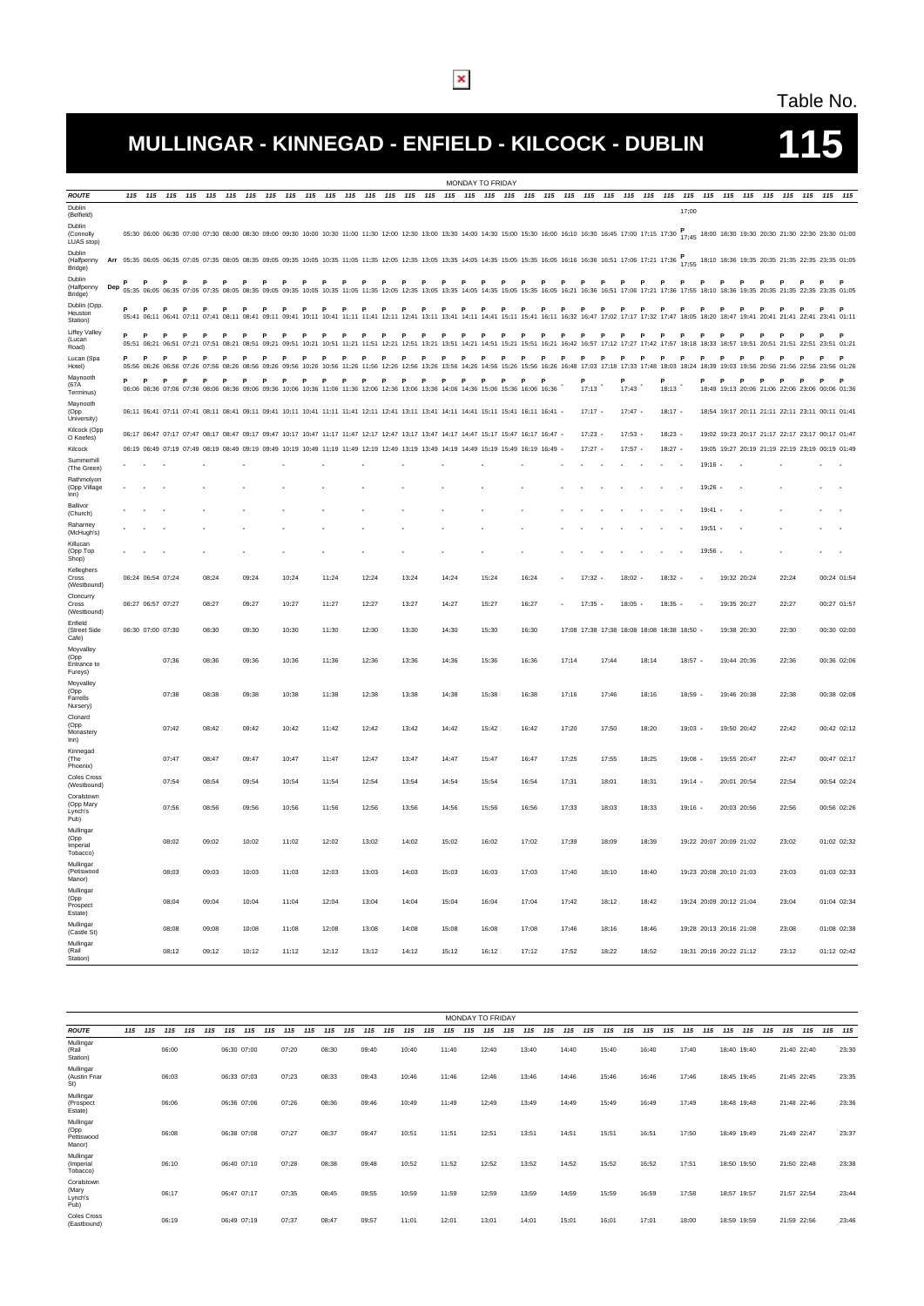#### Table No.

# **MULLINGAR - KINNEGAD - ENFIELD - KILCOCK - DUBLIN 115**

| <b>ROUTE</b><br>115 115 115<br>115<br>115<br>115 115 115 115 115 115<br>115<br>115<br>115 115 115 115 115 115 115<br>115 115 115 115 115 115 115 115<br>115<br>115 115 115 115 115 115 115 115<br>Dublin<br>17:00<br>(Belfield)<br>Dublin<br>05:30 06:00 06:30 07:00 07:30 08:00 08:30 09:00 09:30 10:00 10:30 11:00 11:30 12:00 12:30 13:00 13:30 14:00 15:30 16:00 16:10 16:30 16:45 17:00 17:15 17:30 17:45 18:00 18:30 19:30 20:30 21:30 22:30 23:30 01:00<br>(Connolly<br>LUAS stop)<br>Dublin<br>Arr 05:35 06:05 07:05 07:05 07:05 08:05 08:35 09:06 09:35 10:05 10:35 11:05 11:35 12:05 12:35 13:05 13:35 14:05 14:35 15:05 15:05 15:05 16:16 16:36 16:51 17:06 17:21 17:36 17:55 18:10 18:36 19:35 20:35 21:35 22:35 23:35 01<br>(Halfpenny<br>Bridge)<br>Dublin<br>P<br>$\mathbf{P}$<br>P<br>$\mathbf{P}$<br>P<br><b>P</b><br>$\mathsf{P}$<br>$\mathbf{P}$<br>$\mathbf{P}$<br>P<br>$\mathsf{P}$<br>$\mathsf{P}$<br>$\mathbf{P}$<br>$\mathbf{P}$<br>$\mathbf{P}$<br>$\mathbf{P}$<br>P<br>$\mathbf{P}$<br>$\mathbf{P}$<br>P<br>P<br>P<br><b>P</b><br>P<br>P<br>P<br>P<br>P<br>P<br>P<br>$\mathbf{P}$<br>P<br><b>P</b><br>$\mathbf{P}$<br>$\mathbf{P}$<br>P<br>(Halfpenny<br>Dep<br>05:35 06:05 06:35 07:05 07:35 08:05 08:35 09:05 09:35 10:06 10:35 11:05 11:35 12:35 12:35 13:35 13:35 14:05 13:35 14:05 13:35 14:05 15:35 16:05 16:35 16:05 16:21 16:36 16:51 17:06 17:21 17:36 17:55 18:10 18:36 19:35 21:35 2<br>Bridge)<br>Dublin (Opp.<br>P<br>P<br>Heuston<br>05:41 06:11 06:41 07:41 07:41 08:41 08:41 09:11 09:41 10:11 10:41 11:11 11:41 12:11 12:41 13:11 13:41 14:11 14:41 15:11 15:41 16:11 16:32 16:47 17:02 17:17 17:32 17:47 18:05 18:40 18:47 19:41 20:41 21:41 22:41 03:41 01:11<br>Station)<br>Liffey Valley<br>P<br>$\mathbf{P}$<br>P<br>P<br>P<br>$\mathbf{P}$<br>P<br>P<br>P<br>P<br>P<br>P<br>P<br>P<br>P<br>P<br>P<br>P<br>P<br>P<br>P<br>P<br>P<br>P<br>P<br>P<br>P<br>$\mathbf{P}$<br>P<br>P<br>P<br>P<br>P<br>P<br>P<br>(Lucan<br>05:51 06:21 06:51 07:21 07:51 08:21 08:51 09:51 10:21 10:51 10:21 11:51 11:21 11:51 12:21 12:51 13:21 13:51 14:21 14:51 15:21 15:51 16:21 16:51 16:21 16:57 17:12 17:27 17:42 17:57 18:18 18:33 18:57 19:51 20:51 23:51 01:21<br>Road)<br>P<br>P<br>P<br>P<br>P<br>P<br>P<br>P<br>P<br>P<br>P<br>P<br>P<br>P<br>P<br>P<br>P<br>P<br>P<br>P<br>P<br>P<br>Lucan (Spa<br>05:56 06:26 06:56 07:26 07:56 08:26 08:56 09:26 09:56 10:26 10:56 11:26 11:56 12:56 12:56 13:56 13:56 14:26 14:56 15:26 14:56 15:26 15:56 16:26 15:56 16:26 16:48 17:03 17:18 17:33 17:48 18:03 18:54 18:39 19:03 19:56 21:56 2<br>Hotel)<br>Maynooth<br>P<br>P<br>P<br>P<br>P<br>P<br>P<br>P<br>P<br>P<br>P<br><b>P</b><br>P<br>P<br>P<br>P<br>P<br>P<br>P<br>P<br>P<br>P<br>Ð<br>D<br>D<br>P<br>P<br>P<br>P<br>(67A<br>17:13<br>17:43<br>18:13<br>06:06 06:36 07:06 07:36 08:06 08:36 09:06 09:36 10:06 10:36 11:06 11:36 12:06 12:36 13:06 13:36 14:06 14:36 15:06 15:36 16:06 16:36<br>18:49 19:13 20:06 21:06 22:06 23:06 00:06 01:36<br>Terminus)<br>Maynooth<br>06:11 06:41 07:11 07:41 08:11 08:41 09:11 09:41 10:11 10:41 11:11 11:41 12:11 12:41 13:11 13:41 14:11 14:41 15:11 15:41 16:11 16:41 -<br>$17:17$ -<br>$17:47$ -<br>$18:17 -$<br>18:54 19:17 20:11 21:11 22:11 23:11 00:11 01:41<br>(Opp<br>University)<br>Kilcock (Opp<br>06:17 06:47 07:17 07:47 08:17 08:47 09:47 09:47 10:17 10:47 11:17 11:47 12:17 12:47 13:17 13:47 14:17 14:47 15:17 15:47 16:17 16:47 16:47<br>$17:23$ -<br>$17:53 -$<br>$18:23 -$<br>19:02 19:23 20:17 21:17 22:17 23:17 00:17 01:47<br>O Keefes)<br>19:05 19:27 20:19 21:19 22:19 23:19 00:19 01:49<br>06:19 06:49 07:19 07:49 08:19 08:49 09:19 09:49 10:19 10:49 11:19 11:49 12:19 12:49 13:19 13:49 14:19 14:49 15:19 15:49 16:19 16:49<br>$17:27$ -<br>$17:57$ -<br>$18:27 -$<br><b>Kilcock</b><br>Summerhill<br>19:16<br>(The Green)<br>Rathmolyon<br>(Opp Village<br>$19:26$ -<br>Inn)<br>Ballivor<br>19:41<br>(Church)<br>Raharney<br>19:51<br>(McHugh's)<br>Killucan<br>19:56<br>(Opp Top<br>Shop)<br>Kelleghers<br>06:24 06:54 07:24<br>14:24<br>15:24<br>18:32<br>19:32 20:24<br>00:24 01:54<br>Cross<br>08:24<br>09:24<br>10:24<br>11:24<br>12:24<br>13:24<br>16:24<br>17:32<br>18:02<br>22:24<br>(Westbound)<br>Cloncurry<br>06:27 06:57 07:27<br>08:27<br>09:27<br>10:27<br>11:27<br>12:27<br>13:27<br>14:27<br>15:27<br>16:27<br>$17:35$ -<br>$18:05 -$<br>$18:35 -$<br>19:35 20:27<br>22:27<br>00:27 01:57<br>Cross<br>(Westbound)<br>Enfield<br>(Street Side<br>06:30 07:00 07:30<br>08.30<br>09:30<br>10:30<br>11:30<br>12:30<br>13:30<br>14:30<br>15:30<br>16:30<br>17:08 17:38 17:38 18:08 18:08 18:38 18:50 -<br>19:38 20:30<br>22:30<br>00:30 02:00<br>Cafe)<br>Moyvalley<br>(Opp<br>07:36<br>08:36<br>09:36<br>10:36<br>11:36<br>12:36<br>13:36<br>14:36<br>15:36<br>16:36<br>17:14<br>17:44<br>18:14<br>$18:57 -$<br>19:44 20:36<br>22:36<br>00:36 02:06<br>Entrance to<br>Fureys)<br>Moyvalley<br>(Opp<br>07:38<br>08:38<br>09:38<br>10:38<br>11:38<br>12:38<br>13:38<br>14:38<br>15:38<br>16:38<br>17:16<br>17:46<br>18:16<br>$18:59$ -<br>19:46 20:38<br>22:38<br>00:38 02:08<br>Farrells<br>Nursery)<br>Clonard<br>(Opp<br>07:42<br>08:42<br>09:42<br>10:42<br>11:42<br>12:42<br>13:42<br>14:42<br>15:42<br>16:42<br>17:20<br>17:50<br>18:20<br>$19:03 -$<br>19:50 20:42<br>22:42<br>00:42 02:12<br>Monastery<br>Inn)<br>Kinnegad<br>07:47<br>08:47<br>09:47<br>11:47<br>12:47<br>13:47<br>14:47<br>15:47<br>16:47<br>17:25<br>17:55<br>$19:08$ -<br>00:47 02:17<br>10:47<br>18:25<br>19:55 20:47<br>22:47<br>(The<br>Phoenix)<br><b>Coles Cross</b><br>07:54<br>08:54<br>09:54<br>10:54<br>11:54<br>12:54<br>13:54<br>14:54<br>15:54<br>16:54<br>17:31<br>18:01<br>18:31<br>$19:14 -$<br>20:01 20:54<br>22:54<br>00:54 02:24<br>(Westbound)<br>Coralstown<br>(Opp Mary<br>07:56<br>08:56<br>09:56<br>10:56<br>11:56<br>12:56<br>13:56<br>14:56<br>15:56<br>16:56<br>17:33<br>18:03<br>18:33<br>$19:16 -$<br>20:03 20:56<br>22:56<br>00:56 02:26<br>Lynch's<br>Pub)<br>Mullingar<br>(Opp<br>08:02<br>09:02<br>10:02<br>11:02<br>12:02<br>13:02<br>14:02<br>15:02<br>16:02<br>17:02<br>17:39<br>18:09<br>18:39<br>19:22 20:07 20:09 21:02<br>23:02<br>01:02 02:32<br>Imperial<br>Tobacco)<br>Mullingar<br>(Petiswood<br>08:03<br>09:03<br>10:03<br>11:03<br>12:03<br>13:03<br>14:03<br>15:03<br>16:03<br>17:03<br>17:40<br>18:10<br>18:40<br>19:23 20:08 20:10 21:03<br>23:03<br>01:03 02:33<br>Manor)<br>Mullingar<br>(Opp<br>17:42<br>01:04 02:34<br>08:04<br>09:04<br>10:04<br>11:04<br>12:04<br>13:04<br>14:04<br>15:04<br>16:04<br>17:04<br>18:12<br>18:42<br>19:24 20:09 20:12 21:04<br>23:04<br>Prospect<br>Estate)<br>Mullingar<br>19:28 20:13 20:16 21:08<br>01:08 02:38<br>08:08<br>09:08<br>10:08<br>11:08<br>12:08<br>13:08<br>14:08<br>15:08<br>16:08<br>17:08<br>17:46<br>18:16<br>18:46<br>23:08<br>(Castle St) |           |  |  |  |  |  |  |  |  |  | MONDAY TO FRIDAY |  |  |  |  |  |  |  |  |  |
|------------------------------------------------------------------------------------------------------------------------------------------------------------------------------------------------------------------------------------------------------------------------------------------------------------------------------------------------------------------------------------------------------------------------------------------------------------------------------------------------------------------------------------------------------------------------------------------------------------------------------------------------------------------------------------------------------------------------------------------------------------------------------------------------------------------------------------------------------------------------------------------------------------------------------------------------------------------------------------------------------------------------------------------------------------------------------------------------------------------------------------------------------------------------------------------------------------------------------------------------------------------------------------------------------------------------------------------------------------------------------------------------------------------------------------------------------------------------------------------------------------------------------------------------------------------------------------------------------------------------------------------------------------------------------------------------------------------------------------------------------------------------------------------------------------------------------------------------------------------------------------------------------------------------------------------------------------------------------------------------------------------------------------------------------------------------------------------------------------------------------------------------------------------------------------------------------------------------------------------------------------------------------------------------------------------------------------------------------------------------------------------------------------------------------------------------------------------------------------------------------------------------------------------------------------------------------------------------------------------------------------------------------------------------------------------------------------------------------------------------------------------------------------------------------------------------------------------------------------------------------------------------------------------------------------------------------------------------------------------------------------------------------------------------------------------------------------------------------------------------------------------------------------------------------------------------------------------------------------------------------------------------------------------------------------------------------------------------------------------------------------------------------------------------------------------------------------------------------------------------------------------------------------------------------------------------------------------------------------------------------------------------------------------------------------------------------------------------------------------------------------------------------------------------------------------------------------------------------------------------------------------------------------------------------------------------------------------------------------------------------------------------------------------------------------------------------------------------------------------------------------------------------------------------------------------------------------------------------------------------------------------------------------------------------------------------------------------------------------------------------------------------------------------------------------------------------------------------------------------------------------------------------------------------------------------------------------------------------------------------------------------------------------------------------------------------------------------------------------------------------------------------------------------------------------------------------------------------------------------------------------------------------------------------------------------------------------------------------------------------------------------------------------------------------------------------------------------------------------------------------------------------------------------------------------------------------------------------------------------------------------------------------------------------------------------------------------------------------------------------------------------------------------------------------------------------------------------------------------------------------------------------------------------------------------------------------------------------------------------------------------------------------------------------------------------------------------------------------------------------------------------------------------------------------------------------------------------------------------------------------------------------------------------------------------------------------------------------------------------------------------------------------------------------------------------------------------------------------------------------------------------------------------------------------------------------------------------------------------------------------------------------------------------------------------------------------------------------------------------------------------------------------------------------------------------------------------------------------------------------------------------------------------------------------------------------------------------------------------------------------------------------------------------------------------------------------------------------------------------------------------------------------------------------------------------------------------------------------|-----------|--|--|--|--|--|--|--|--|--|------------------|--|--|--|--|--|--|--|--|--|
|                                                                                                                                                                                                                                                                                                                                                                                                                                                                                                                                                                                                                                                                                                                                                                                                                                                                                                                                                                                                                                                                                                                                                                                                                                                                                                                                                                                                                                                                                                                                                                                                                                                                                                                                                                                                                                                                                                                                                                                                                                                                                                                                                                                                                                                                                                                                                                                                                                                                                                                                                                                                                                                                                                                                                                                                                                                                                                                                                                                                                                                                                                                                                                                                                                                                                                                                                                                                                                                                                                                                                                                                                                                                                                                                                                                                                                                                                                                                                                                                                                                                                                                                                                                                                                                                                                                                                                                                                                                                                                                                                                                                                                                                                                                                                                                                                                                                                                                                                                                                                                                                                                                                                                                                                                                                                                                                                                                                                                                                                                                                                                                                                                                                                                                                                                                                                                                                                                                                                                                                                                                                                                                                                                                                                                                                                                                                                                                                                                                                                                                                                                                                                                                                                                                                                                                                                                                      |           |  |  |  |  |  |  |  |  |  |                  |  |  |  |  |  |  |  |  |  |
|                                                                                                                                                                                                                                                                                                                                                                                                                                                                                                                                                                                                                                                                                                                                                                                                                                                                                                                                                                                                                                                                                                                                                                                                                                                                                                                                                                                                                                                                                                                                                                                                                                                                                                                                                                                                                                                                                                                                                                                                                                                                                                                                                                                                                                                                                                                                                                                                                                                                                                                                                                                                                                                                                                                                                                                                                                                                                                                                                                                                                                                                                                                                                                                                                                                                                                                                                                                                                                                                                                                                                                                                                                                                                                                                                                                                                                                                                                                                                                                                                                                                                                                                                                                                                                                                                                                                                                                                                                                                                                                                                                                                                                                                                                                                                                                                                                                                                                                                                                                                                                                                                                                                                                                                                                                                                                                                                                                                                                                                                                                                                                                                                                                                                                                                                                                                                                                                                                                                                                                                                                                                                                                                                                                                                                                                                                                                                                                                                                                                                                                                                                                                                                                                                                                                                                                                                                                      |           |  |  |  |  |  |  |  |  |  |                  |  |  |  |  |  |  |  |  |  |
|                                                                                                                                                                                                                                                                                                                                                                                                                                                                                                                                                                                                                                                                                                                                                                                                                                                                                                                                                                                                                                                                                                                                                                                                                                                                                                                                                                                                                                                                                                                                                                                                                                                                                                                                                                                                                                                                                                                                                                                                                                                                                                                                                                                                                                                                                                                                                                                                                                                                                                                                                                                                                                                                                                                                                                                                                                                                                                                                                                                                                                                                                                                                                                                                                                                                                                                                                                                                                                                                                                                                                                                                                                                                                                                                                                                                                                                                                                                                                                                                                                                                                                                                                                                                                                                                                                                                                                                                                                                                                                                                                                                                                                                                                                                                                                                                                                                                                                                                                                                                                                                                                                                                                                                                                                                                                                                                                                                                                                                                                                                                                                                                                                                                                                                                                                                                                                                                                                                                                                                                                                                                                                                                                                                                                                                                                                                                                                                                                                                                                                                                                                                                                                                                                                                                                                                                                                                      |           |  |  |  |  |  |  |  |  |  |                  |  |  |  |  |  |  |  |  |  |
|                                                                                                                                                                                                                                                                                                                                                                                                                                                                                                                                                                                                                                                                                                                                                                                                                                                                                                                                                                                                                                                                                                                                                                                                                                                                                                                                                                                                                                                                                                                                                                                                                                                                                                                                                                                                                                                                                                                                                                                                                                                                                                                                                                                                                                                                                                                                                                                                                                                                                                                                                                                                                                                                                                                                                                                                                                                                                                                                                                                                                                                                                                                                                                                                                                                                                                                                                                                                                                                                                                                                                                                                                                                                                                                                                                                                                                                                                                                                                                                                                                                                                                                                                                                                                                                                                                                                                                                                                                                                                                                                                                                                                                                                                                                                                                                                                                                                                                                                                                                                                                                                                                                                                                                                                                                                                                                                                                                                                                                                                                                                                                                                                                                                                                                                                                                                                                                                                                                                                                                                                                                                                                                                                                                                                                                                                                                                                                                                                                                                                                                                                                                                                                                                                                                                                                                                                                                      |           |  |  |  |  |  |  |  |  |  |                  |  |  |  |  |  |  |  |  |  |
|                                                                                                                                                                                                                                                                                                                                                                                                                                                                                                                                                                                                                                                                                                                                                                                                                                                                                                                                                                                                                                                                                                                                                                                                                                                                                                                                                                                                                                                                                                                                                                                                                                                                                                                                                                                                                                                                                                                                                                                                                                                                                                                                                                                                                                                                                                                                                                                                                                                                                                                                                                                                                                                                                                                                                                                                                                                                                                                                                                                                                                                                                                                                                                                                                                                                                                                                                                                                                                                                                                                                                                                                                                                                                                                                                                                                                                                                                                                                                                                                                                                                                                                                                                                                                                                                                                                                                                                                                                                                                                                                                                                                                                                                                                                                                                                                                                                                                                                                                                                                                                                                                                                                                                                                                                                                                                                                                                                                                                                                                                                                                                                                                                                                                                                                                                                                                                                                                                                                                                                                                                                                                                                                                                                                                                                                                                                                                                                                                                                                                                                                                                                                                                                                                                                                                                                                                                                      |           |  |  |  |  |  |  |  |  |  |                  |  |  |  |  |  |  |  |  |  |
|                                                                                                                                                                                                                                                                                                                                                                                                                                                                                                                                                                                                                                                                                                                                                                                                                                                                                                                                                                                                                                                                                                                                                                                                                                                                                                                                                                                                                                                                                                                                                                                                                                                                                                                                                                                                                                                                                                                                                                                                                                                                                                                                                                                                                                                                                                                                                                                                                                                                                                                                                                                                                                                                                                                                                                                                                                                                                                                                                                                                                                                                                                                                                                                                                                                                                                                                                                                                                                                                                                                                                                                                                                                                                                                                                                                                                                                                                                                                                                                                                                                                                                                                                                                                                                                                                                                                                                                                                                                                                                                                                                                                                                                                                                                                                                                                                                                                                                                                                                                                                                                                                                                                                                                                                                                                                                                                                                                                                                                                                                                                                                                                                                                                                                                                                                                                                                                                                                                                                                                                                                                                                                                                                                                                                                                                                                                                                                                                                                                                                                                                                                                                                                                                                                                                                                                                                                                      |           |  |  |  |  |  |  |  |  |  |                  |  |  |  |  |  |  |  |  |  |
|                                                                                                                                                                                                                                                                                                                                                                                                                                                                                                                                                                                                                                                                                                                                                                                                                                                                                                                                                                                                                                                                                                                                                                                                                                                                                                                                                                                                                                                                                                                                                                                                                                                                                                                                                                                                                                                                                                                                                                                                                                                                                                                                                                                                                                                                                                                                                                                                                                                                                                                                                                                                                                                                                                                                                                                                                                                                                                                                                                                                                                                                                                                                                                                                                                                                                                                                                                                                                                                                                                                                                                                                                                                                                                                                                                                                                                                                                                                                                                                                                                                                                                                                                                                                                                                                                                                                                                                                                                                                                                                                                                                                                                                                                                                                                                                                                                                                                                                                                                                                                                                                                                                                                                                                                                                                                                                                                                                                                                                                                                                                                                                                                                                                                                                                                                                                                                                                                                                                                                                                                                                                                                                                                                                                                                                                                                                                                                                                                                                                                                                                                                                                                                                                                                                                                                                                                                                      |           |  |  |  |  |  |  |  |  |  |                  |  |  |  |  |  |  |  |  |  |
|                                                                                                                                                                                                                                                                                                                                                                                                                                                                                                                                                                                                                                                                                                                                                                                                                                                                                                                                                                                                                                                                                                                                                                                                                                                                                                                                                                                                                                                                                                                                                                                                                                                                                                                                                                                                                                                                                                                                                                                                                                                                                                                                                                                                                                                                                                                                                                                                                                                                                                                                                                                                                                                                                                                                                                                                                                                                                                                                                                                                                                                                                                                                                                                                                                                                                                                                                                                                                                                                                                                                                                                                                                                                                                                                                                                                                                                                                                                                                                                                                                                                                                                                                                                                                                                                                                                                                                                                                                                                                                                                                                                                                                                                                                                                                                                                                                                                                                                                                                                                                                                                                                                                                                                                                                                                                                                                                                                                                                                                                                                                                                                                                                                                                                                                                                                                                                                                                                                                                                                                                                                                                                                                                                                                                                                                                                                                                                                                                                                                                                                                                                                                                                                                                                                                                                                                                                                      |           |  |  |  |  |  |  |  |  |  |                  |  |  |  |  |  |  |  |  |  |
|                                                                                                                                                                                                                                                                                                                                                                                                                                                                                                                                                                                                                                                                                                                                                                                                                                                                                                                                                                                                                                                                                                                                                                                                                                                                                                                                                                                                                                                                                                                                                                                                                                                                                                                                                                                                                                                                                                                                                                                                                                                                                                                                                                                                                                                                                                                                                                                                                                                                                                                                                                                                                                                                                                                                                                                                                                                                                                                                                                                                                                                                                                                                                                                                                                                                                                                                                                                                                                                                                                                                                                                                                                                                                                                                                                                                                                                                                                                                                                                                                                                                                                                                                                                                                                                                                                                                                                                                                                                                                                                                                                                                                                                                                                                                                                                                                                                                                                                                                                                                                                                                                                                                                                                                                                                                                                                                                                                                                                                                                                                                                                                                                                                                                                                                                                                                                                                                                                                                                                                                                                                                                                                                                                                                                                                                                                                                                                                                                                                                                                                                                                                                                                                                                                                                                                                                                                                      |           |  |  |  |  |  |  |  |  |  |                  |  |  |  |  |  |  |  |  |  |
|                                                                                                                                                                                                                                                                                                                                                                                                                                                                                                                                                                                                                                                                                                                                                                                                                                                                                                                                                                                                                                                                                                                                                                                                                                                                                                                                                                                                                                                                                                                                                                                                                                                                                                                                                                                                                                                                                                                                                                                                                                                                                                                                                                                                                                                                                                                                                                                                                                                                                                                                                                                                                                                                                                                                                                                                                                                                                                                                                                                                                                                                                                                                                                                                                                                                                                                                                                                                                                                                                                                                                                                                                                                                                                                                                                                                                                                                                                                                                                                                                                                                                                                                                                                                                                                                                                                                                                                                                                                                                                                                                                                                                                                                                                                                                                                                                                                                                                                                                                                                                                                                                                                                                                                                                                                                                                                                                                                                                                                                                                                                                                                                                                                                                                                                                                                                                                                                                                                                                                                                                                                                                                                                                                                                                                                                                                                                                                                                                                                                                                                                                                                                                                                                                                                                                                                                                                                      |           |  |  |  |  |  |  |  |  |  |                  |  |  |  |  |  |  |  |  |  |
|                                                                                                                                                                                                                                                                                                                                                                                                                                                                                                                                                                                                                                                                                                                                                                                                                                                                                                                                                                                                                                                                                                                                                                                                                                                                                                                                                                                                                                                                                                                                                                                                                                                                                                                                                                                                                                                                                                                                                                                                                                                                                                                                                                                                                                                                                                                                                                                                                                                                                                                                                                                                                                                                                                                                                                                                                                                                                                                                                                                                                                                                                                                                                                                                                                                                                                                                                                                                                                                                                                                                                                                                                                                                                                                                                                                                                                                                                                                                                                                                                                                                                                                                                                                                                                                                                                                                                                                                                                                                                                                                                                                                                                                                                                                                                                                                                                                                                                                                                                                                                                                                                                                                                                                                                                                                                                                                                                                                                                                                                                                                                                                                                                                                                                                                                                                                                                                                                                                                                                                                                                                                                                                                                                                                                                                                                                                                                                                                                                                                                                                                                                                                                                                                                                                                                                                                                                                      |           |  |  |  |  |  |  |  |  |  |                  |  |  |  |  |  |  |  |  |  |
|                                                                                                                                                                                                                                                                                                                                                                                                                                                                                                                                                                                                                                                                                                                                                                                                                                                                                                                                                                                                                                                                                                                                                                                                                                                                                                                                                                                                                                                                                                                                                                                                                                                                                                                                                                                                                                                                                                                                                                                                                                                                                                                                                                                                                                                                                                                                                                                                                                                                                                                                                                                                                                                                                                                                                                                                                                                                                                                                                                                                                                                                                                                                                                                                                                                                                                                                                                                                                                                                                                                                                                                                                                                                                                                                                                                                                                                                                                                                                                                                                                                                                                                                                                                                                                                                                                                                                                                                                                                                                                                                                                                                                                                                                                                                                                                                                                                                                                                                                                                                                                                                                                                                                                                                                                                                                                                                                                                                                                                                                                                                                                                                                                                                                                                                                                                                                                                                                                                                                                                                                                                                                                                                                                                                                                                                                                                                                                                                                                                                                                                                                                                                                                                                                                                                                                                                                                                      |           |  |  |  |  |  |  |  |  |  |                  |  |  |  |  |  |  |  |  |  |
|                                                                                                                                                                                                                                                                                                                                                                                                                                                                                                                                                                                                                                                                                                                                                                                                                                                                                                                                                                                                                                                                                                                                                                                                                                                                                                                                                                                                                                                                                                                                                                                                                                                                                                                                                                                                                                                                                                                                                                                                                                                                                                                                                                                                                                                                                                                                                                                                                                                                                                                                                                                                                                                                                                                                                                                                                                                                                                                                                                                                                                                                                                                                                                                                                                                                                                                                                                                                                                                                                                                                                                                                                                                                                                                                                                                                                                                                                                                                                                                                                                                                                                                                                                                                                                                                                                                                                                                                                                                                                                                                                                                                                                                                                                                                                                                                                                                                                                                                                                                                                                                                                                                                                                                                                                                                                                                                                                                                                                                                                                                                                                                                                                                                                                                                                                                                                                                                                                                                                                                                                                                                                                                                                                                                                                                                                                                                                                                                                                                                                                                                                                                                                                                                                                                                                                                                                                                      |           |  |  |  |  |  |  |  |  |  |                  |  |  |  |  |  |  |  |  |  |
|                                                                                                                                                                                                                                                                                                                                                                                                                                                                                                                                                                                                                                                                                                                                                                                                                                                                                                                                                                                                                                                                                                                                                                                                                                                                                                                                                                                                                                                                                                                                                                                                                                                                                                                                                                                                                                                                                                                                                                                                                                                                                                                                                                                                                                                                                                                                                                                                                                                                                                                                                                                                                                                                                                                                                                                                                                                                                                                                                                                                                                                                                                                                                                                                                                                                                                                                                                                                                                                                                                                                                                                                                                                                                                                                                                                                                                                                                                                                                                                                                                                                                                                                                                                                                                                                                                                                                                                                                                                                                                                                                                                                                                                                                                                                                                                                                                                                                                                                                                                                                                                                                                                                                                                                                                                                                                                                                                                                                                                                                                                                                                                                                                                                                                                                                                                                                                                                                                                                                                                                                                                                                                                                                                                                                                                                                                                                                                                                                                                                                                                                                                                                                                                                                                                                                                                                                                                      |           |  |  |  |  |  |  |  |  |  |                  |  |  |  |  |  |  |  |  |  |
|                                                                                                                                                                                                                                                                                                                                                                                                                                                                                                                                                                                                                                                                                                                                                                                                                                                                                                                                                                                                                                                                                                                                                                                                                                                                                                                                                                                                                                                                                                                                                                                                                                                                                                                                                                                                                                                                                                                                                                                                                                                                                                                                                                                                                                                                                                                                                                                                                                                                                                                                                                                                                                                                                                                                                                                                                                                                                                                                                                                                                                                                                                                                                                                                                                                                                                                                                                                                                                                                                                                                                                                                                                                                                                                                                                                                                                                                                                                                                                                                                                                                                                                                                                                                                                                                                                                                                                                                                                                                                                                                                                                                                                                                                                                                                                                                                                                                                                                                                                                                                                                                                                                                                                                                                                                                                                                                                                                                                                                                                                                                                                                                                                                                                                                                                                                                                                                                                                                                                                                                                                                                                                                                                                                                                                                                                                                                                                                                                                                                                                                                                                                                                                                                                                                                                                                                                                                      |           |  |  |  |  |  |  |  |  |  |                  |  |  |  |  |  |  |  |  |  |
|                                                                                                                                                                                                                                                                                                                                                                                                                                                                                                                                                                                                                                                                                                                                                                                                                                                                                                                                                                                                                                                                                                                                                                                                                                                                                                                                                                                                                                                                                                                                                                                                                                                                                                                                                                                                                                                                                                                                                                                                                                                                                                                                                                                                                                                                                                                                                                                                                                                                                                                                                                                                                                                                                                                                                                                                                                                                                                                                                                                                                                                                                                                                                                                                                                                                                                                                                                                                                                                                                                                                                                                                                                                                                                                                                                                                                                                                                                                                                                                                                                                                                                                                                                                                                                                                                                                                                                                                                                                                                                                                                                                                                                                                                                                                                                                                                                                                                                                                                                                                                                                                                                                                                                                                                                                                                                                                                                                                                                                                                                                                                                                                                                                                                                                                                                                                                                                                                                                                                                                                                                                                                                                                                                                                                                                                                                                                                                                                                                                                                                                                                                                                                                                                                                                                                                                                                                                      |           |  |  |  |  |  |  |  |  |  |                  |  |  |  |  |  |  |  |  |  |
|                                                                                                                                                                                                                                                                                                                                                                                                                                                                                                                                                                                                                                                                                                                                                                                                                                                                                                                                                                                                                                                                                                                                                                                                                                                                                                                                                                                                                                                                                                                                                                                                                                                                                                                                                                                                                                                                                                                                                                                                                                                                                                                                                                                                                                                                                                                                                                                                                                                                                                                                                                                                                                                                                                                                                                                                                                                                                                                                                                                                                                                                                                                                                                                                                                                                                                                                                                                                                                                                                                                                                                                                                                                                                                                                                                                                                                                                                                                                                                                                                                                                                                                                                                                                                                                                                                                                                                                                                                                                                                                                                                                                                                                                                                                                                                                                                                                                                                                                                                                                                                                                                                                                                                                                                                                                                                                                                                                                                                                                                                                                                                                                                                                                                                                                                                                                                                                                                                                                                                                                                                                                                                                                                                                                                                                                                                                                                                                                                                                                                                                                                                                                                                                                                                                                                                                                                                                      |           |  |  |  |  |  |  |  |  |  |                  |  |  |  |  |  |  |  |  |  |
|                                                                                                                                                                                                                                                                                                                                                                                                                                                                                                                                                                                                                                                                                                                                                                                                                                                                                                                                                                                                                                                                                                                                                                                                                                                                                                                                                                                                                                                                                                                                                                                                                                                                                                                                                                                                                                                                                                                                                                                                                                                                                                                                                                                                                                                                                                                                                                                                                                                                                                                                                                                                                                                                                                                                                                                                                                                                                                                                                                                                                                                                                                                                                                                                                                                                                                                                                                                                                                                                                                                                                                                                                                                                                                                                                                                                                                                                                                                                                                                                                                                                                                                                                                                                                                                                                                                                                                                                                                                                                                                                                                                                                                                                                                                                                                                                                                                                                                                                                                                                                                                                                                                                                                                                                                                                                                                                                                                                                                                                                                                                                                                                                                                                                                                                                                                                                                                                                                                                                                                                                                                                                                                                                                                                                                                                                                                                                                                                                                                                                                                                                                                                                                                                                                                                                                                                                                                      |           |  |  |  |  |  |  |  |  |  |                  |  |  |  |  |  |  |  |  |  |
|                                                                                                                                                                                                                                                                                                                                                                                                                                                                                                                                                                                                                                                                                                                                                                                                                                                                                                                                                                                                                                                                                                                                                                                                                                                                                                                                                                                                                                                                                                                                                                                                                                                                                                                                                                                                                                                                                                                                                                                                                                                                                                                                                                                                                                                                                                                                                                                                                                                                                                                                                                                                                                                                                                                                                                                                                                                                                                                                                                                                                                                                                                                                                                                                                                                                                                                                                                                                                                                                                                                                                                                                                                                                                                                                                                                                                                                                                                                                                                                                                                                                                                                                                                                                                                                                                                                                                                                                                                                                                                                                                                                                                                                                                                                                                                                                                                                                                                                                                                                                                                                                                                                                                                                                                                                                                                                                                                                                                                                                                                                                                                                                                                                                                                                                                                                                                                                                                                                                                                                                                                                                                                                                                                                                                                                                                                                                                                                                                                                                                                                                                                                                                                                                                                                                                                                                                                                      |           |  |  |  |  |  |  |  |  |  |                  |  |  |  |  |  |  |  |  |  |
|                                                                                                                                                                                                                                                                                                                                                                                                                                                                                                                                                                                                                                                                                                                                                                                                                                                                                                                                                                                                                                                                                                                                                                                                                                                                                                                                                                                                                                                                                                                                                                                                                                                                                                                                                                                                                                                                                                                                                                                                                                                                                                                                                                                                                                                                                                                                                                                                                                                                                                                                                                                                                                                                                                                                                                                                                                                                                                                                                                                                                                                                                                                                                                                                                                                                                                                                                                                                                                                                                                                                                                                                                                                                                                                                                                                                                                                                                                                                                                                                                                                                                                                                                                                                                                                                                                                                                                                                                                                                                                                                                                                                                                                                                                                                                                                                                                                                                                                                                                                                                                                                                                                                                                                                                                                                                                                                                                                                                                                                                                                                                                                                                                                                                                                                                                                                                                                                                                                                                                                                                                                                                                                                                                                                                                                                                                                                                                                                                                                                                                                                                                                                                                                                                                                                                                                                                                                      |           |  |  |  |  |  |  |  |  |  |                  |  |  |  |  |  |  |  |  |  |
|                                                                                                                                                                                                                                                                                                                                                                                                                                                                                                                                                                                                                                                                                                                                                                                                                                                                                                                                                                                                                                                                                                                                                                                                                                                                                                                                                                                                                                                                                                                                                                                                                                                                                                                                                                                                                                                                                                                                                                                                                                                                                                                                                                                                                                                                                                                                                                                                                                                                                                                                                                                                                                                                                                                                                                                                                                                                                                                                                                                                                                                                                                                                                                                                                                                                                                                                                                                                                                                                                                                                                                                                                                                                                                                                                                                                                                                                                                                                                                                                                                                                                                                                                                                                                                                                                                                                                                                                                                                                                                                                                                                                                                                                                                                                                                                                                                                                                                                                                                                                                                                                                                                                                                                                                                                                                                                                                                                                                                                                                                                                                                                                                                                                                                                                                                                                                                                                                                                                                                                                                                                                                                                                                                                                                                                                                                                                                                                                                                                                                                                                                                                                                                                                                                                                                                                                                                                      |           |  |  |  |  |  |  |  |  |  |                  |  |  |  |  |  |  |  |  |  |
|                                                                                                                                                                                                                                                                                                                                                                                                                                                                                                                                                                                                                                                                                                                                                                                                                                                                                                                                                                                                                                                                                                                                                                                                                                                                                                                                                                                                                                                                                                                                                                                                                                                                                                                                                                                                                                                                                                                                                                                                                                                                                                                                                                                                                                                                                                                                                                                                                                                                                                                                                                                                                                                                                                                                                                                                                                                                                                                                                                                                                                                                                                                                                                                                                                                                                                                                                                                                                                                                                                                                                                                                                                                                                                                                                                                                                                                                                                                                                                                                                                                                                                                                                                                                                                                                                                                                                                                                                                                                                                                                                                                                                                                                                                                                                                                                                                                                                                                                                                                                                                                                                                                                                                                                                                                                                                                                                                                                                                                                                                                                                                                                                                                                                                                                                                                                                                                                                                                                                                                                                                                                                                                                                                                                                                                                                                                                                                                                                                                                                                                                                                                                                                                                                                                                                                                                                                                      |           |  |  |  |  |  |  |  |  |  |                  |  |  |  |  |  |  |  |  |  |
|                                                                                                                                                                                                                                                                                                                                                                                                                                                                                                                                                                                                                                                                                                                                                                                                                                                                                                                                                                                                                                                                                                                                                                                                                                                                                                                                                                                                                                                                                                                                                                                                                                                                                                                                                                                                                                                                                                                                                                                                                                                                                                                                                                                                                                                                                                                                                                                                                                                                                                                                                                                                                                                                                                                                                                                                                                                                                                                                                                                                                                                                                                                                                                                                                                                                                                                                                                                                                                                                                                                                                                                                                                                                                                                                                                                                                                                                                                                                                                                                                                                                                                                                                                                                                                                                                                                                                                                                                                                                                                                                                                                                                                                                                                                                                                                                                                                                                                                                                                                                                                                                                                                                                                                                                                                                                                                                                                                                                                                                                                                                                                                                                                                                                                                                                                                                                                                                                                                                                                                                                                                                                                                                                                                                                                                                                                                                                                                                                                                                                                                                                                                                                                                                                                                                                                                                                                                      |           |  |  |  |  |  |  |  |  |  |                  |  |  |  |  |  |  |  |  |  |
|                                                                                                                                                                                                                                                                                                                                                                                                                                                                                                                                                                                                                                                                                                                                                                                                                                                                                                                                                                                                                                                                                                                                                                                                                                                                                                                                                                                                                                                                                                                                                                                                                                                                                                                                                                                                                                                                                                                                                                                                                                                                                                                                                                                                                                                                                                                                                                                                                                                                                                                                                                                                                                                                                                                                                                                                                                                                                                                                                                                                                                                                                                                                                                                                                                                                                                                                                                                                                                                                                                                                                                                                                                                                                                                                                                                                                                                                                                                                                                                                                                                                                                                                                                                                                                                                                                                                                                                                                                                                                                                                                                                                                                                                                                                                                                                                                                                                                                                                                                                                                                                                                                                                                                                                                                                                                                                                                                                                                                                                                                                                                                                                                                                                                                                                                                                                                                                                                                                                                                                                                                                                                                                                                                                                                                                                                                                                                                                                                                                                                                                                                                                                                                                                                                                                                                                                                                                      |           |  |  |  |  |  |  |  |  |  |                  |  |  |  |  |  |  |  |  |  |
|                                                                                                                                                                                                                                                                                                                                                                                                                                                                                                                                                                                                                                                                                                                                                                                                                                                                                                                                                                                                                                                                                                                                                                                                                                                                                                                                                                                                                                                                                                                                                                                                                                                                                                                                                                                                                                                                                                                                                                                                                                                                                                                                                                                                                                                                                                                                                                                                                                                                                                                                                                                                                                                                                                                                                                                                                                                                                                                                                                                                                                                                                                                                                                                                                                                                                                                                                                                                                                                                                                                                                                                                                                                                                                                                                                                                                                                                                                                                                                                                                                                                                                                                                                                                                                                                                                                                                                                                                                                                                                                                                                                                                                                                                                                                                                                                                                                                                                                                                                                                                                                                                                                                                                                                                                                                                                                                                                                                                                                                                                                                                                                                                                                                                                                                                                                                                                                                                                                                                                                                                                                                                                                                                                                                                                                                                                                                                                                                                                                                                                                                                                                                                                                                                                                                                                                                                                                      |           |  |  |  |  |  |  |  |  |  |                  |  |  |  |  |  |  |  |  |  |
|                                                                                                                                                                                                                                                                                                                                                                                                                                                                                                                                                                                                                                                                                                                                                                                                                                                                                                                                                                                                                                                                                                                                                                                                                                                                                                                                                                                                                                                                                                                                                                                                                                                                                                                                                                                                                                                                                                                                                                                                                                                                                                                                                                                                                                                                                                                                                                                                                                                                                                                                                                                                                                                                                                                                                                                                                                                                                                                                                                                                                                                                                                                                                                                                                                                                                                                                                                                                                                                                                                                                                                                                                                                                                                                                                                                                                                                                                                                                                                                                                                                                                                                                                                                                                                                                                                                                                                                                                                                                                                                                                                                                                                                                                                                                                                                                                                                                                                                                                                                                                                                                                                                                                                                                                                                                                                                                                                                                                                                                                                                                                                                                                                                                                                                                                                                                                                                                                                                                                                                                                                                                                                                                                                                                                                                                                                                                                                                                                                                                                                                                                                                                                                                                                                                                                                                                                                                      |           |  |  |  |  |  |  |  |  |  |                  |  |  |  |  |  |  |  |  |  |
|                                                                                                                                                                                                                                                                                                                                                                                                                                                                                                                                                                                                                                                                                                                                                                                                                                                                                                                                                                                                                                                                                                                                                                                                                                                                                                                                                                                                                                                                                                                                                                                                                                                                                                                                                                                                                                                                                                                                                                                                                                                                                                                                                                                                                                                                                                                                                                                                                                                                                                                                                                                                                                                                                                                                                                                                                                                                                                                                                                                                                                                                                                                                                                                                                                                                                                                                                                                                                                                                                                                                                                                                                                                                                                                                                                                                                                                                                                                                                                                                                                                                                                                                                                                                                                                                                                                                                                                                                                                                                                                                                                                                                                                                                                                                                                                                                                                                                                                                                                                                                                                                                                                                                                                                                                                                                                                                                                                                                                                                                                                                                                                                                                                                                                                                                                                                                                                                                                                                                                                                                                                                                                                                                                                                                                                                                                                                                                                                                                                                                                                                                                                                                                                                                                                                                                                                                                                      |           |  |  |  |  |  |  |  |  |  |                  |  |  |  |  |  |  |  |  |  |
|                                                                                                                                                                                                                                                                                                                                                                                                                                                                                                                                                                                                                                                                                                                                                                                                                                                                                                                                                                                                                                                                                                                                                                                                                                                                                                                                                                                                                                                                                                                                                                                                                                                                                                                                                                                                                                                                                                                                                                                                                                                                                                                                                                                                                                                                                                                                                                                                                                                                                                                                                                                                                                                                                                                                                                                                                                                                                                                                                                                                                                                                                                                                                                                                                                                                                                                                                                                                                                                                                                                                                                                                                                                                                                                                                                                                                                                                                                                                                                                                                                                                                                                                                                                                                                                                                                                                                                                                                                                                                                                                                                                                                                                                                                                                                                                                                                                                                                                                                                                                                                                                                                                                                                                                                                                                                                                                                                                                                                                                                                                                                                                                                                                                                                                                                                                                                                                                                                                                                                                                                                                                                                                                                                                                                                                                                                                                                                                                                                                                                                                                                                                                                                                                                                                                                                                                                                                      |           |  |  |  |  |  |  |  |  |  |                  |  |  |  |  |  |  |  |  |  |
|                                                                                                                                                                                                                                                                                                                                                                                                                                                                                                                                                                                                                                                                                                                                                                                                                                                                                                                                                                                                                                                                                                                                                                                                                                                                                                                                                                                                                                                                                                                                                                                                                                                                                                                                                                                                                                                                                                                                                                                                                                                                                                                                                                                                                                                                                                                                                                                                                                                                                                                                                                                                                                                                                                                                                                                                                                                                                                                                                                                                                                                                                                                                                                                                                                                                                                                                                                                                                                                                                                                                                                                                                                                                                                                                                                                                                                                                                                                                                                                                                                                                                                                                                                                                                                                                                                                                                                                                                                                                                                                                                                                                                                                                                                                                                                                                                                                                                                                                                                                                                                                                                                                                                                                                                                                                                                                                                                                                                                                                                                                                                                                                                                                                                                                                                                                                                                                                                                                                                                                                                                                                                                                                                                                                                                                                                                                                                                                                                                                                                                                                                                                                                                                                                                                                                                                                                                                      |           |  |  |  |  |  |  |  |  |  |                  |  |  |  |  |  |  |  |  |  |
|                                                                                                                                                                                                                                                                                                                                                                                                                                                                                                                                                                                                                                                                                                                                                                                                                                                                                                                                                                                                                                                                                                                                                                                                                                                                                                                                                                                                                                                                                                                                                                                                                                                                                                                                                                                                                                                                                                                                                                                                                                                                                                                                                                                                                                                                                                                                                                                                                                                                                                                                                                                                                                                                                                                                                                                                                                                                                                                                                                                                                                                                                                                                                                                                                                                                                                                                                                                                                                                                                                                                                                                                                                                                                                                                                                                                                                                                                                                                                                                                                                                                                                                                                                                                                                                                                                                                                                                                                                                                                                                                                                                                                                                                                                                                                                                                                                                                                                                                                                                                                                                                                                                                                                                                                                                                                                                                                                                                                                                                                                                                                                                                                                                                                                                                                                                                                                                                                                                                                                                                                                                                                                                                                                                                                                                                                                                                                                                                                                                                                                                                                                                                                                                                                                                                                                                                                                                      |           |  |  |  |  |  |  |  |  |  |                  |  |  |  |  |  |  |  |  |  |
|                                                                                                                                                                                                                                                                                                                                                                                                                                                                                                                                                                                                                                                                                                                                                                                                                                                                                                                                                                                                                                                                                                                                                                                                                                                                                                                                                                                                                                                                                                                                                                                                                                                                                                                                                                                                                                                                                                                                                                                                                                                                                                                                                                                                                                                                                                                                                                                                                                                                                                                                                                                                                                                                                                                                                                                                                                                                                                                                                                                                                                                                                                                                                                                                                                                                                                                                                                                                                                                                                                                                                                                                                                                                                                                                                                                                                                                                                                                                                                                                                                                                                                                                                                                                                                                                                                                                                                                                                                                                                                                                                                                                                                                                                                                                                                                                                                                                                                                                                                                                                                                                                                                                                                                                                                                                                                                                                                                                                                                                                                                                                                                                                                                                                                                                                                                                                                                                                                                                                                                                                                                                                                                                                                                                                                                                                                                                                                                                                                                                                                                                                                                                                                                                                                                                                                                                                                                      |           |  |  |  |  |  |  |  |  |  |                  |  |  |  |  |  |  |  |  |  |
| 08:12<br>09:12<br>10:12<br>11:12<br>12:12<br>13:12<br>14:12<br>15:12<br>16:12<br>17:12<br>17:52<br>18:22<br>18:52<br>19:31 20:16 20:22 21:12<br>23:12<br>01:12 02:42<br>(Rail<br>Station)                                                                                                                                                                                                                                                                                                                                                                                                                                                                                                                                                                                                                                                                                                                                                                                                                                                                                                                                                                                                                                                                                                                                                                                                                                                                                                                                                                                                                                                                                                                                                                                                                                                                                                                                                                                                                                                                                                                                                                                                                                                                                                                                                                                                                                                                                                                                                                                                                                                                                                                                                                                                                                                                                                                                                                                                                                                                                                                                                                                                                                                                                                                                                                                                                                                                                                                                                                                                                                                                                                                                                                                                                                                                                                                                                                                                                                                                                                                                                                                                                                                                                                                                                                                                                                                                                                                                                                                                                                                                                                                                                                                                                                                                                                                                                                                                                                                                                                                                                                                                                                                                                                                                                                                                                                                                                                                                                                                                                                                                                                                                                                                                                                                                                                                                                                                                                                                                                                                                                                                                                                                                                                                                                                                                                                                                                                                                                                                                                                                                                                                                                                                                                                                            | Mullingar |  |  |  |  |  |  |  |  |  |                  |  |  |  |  |  |  |  |  |  |

|                                           | MONDAY TO FRIDAY |     |       |     |     |     |             |     |       |     |       |     |       |     |       |     |       |     |       |     |       |     |       |     |       |     |       |     |       |     |             |     |     |     |             |         |
|-------------------------------------------|------------------|-----|-------|-----|-----|-----|-------------|-----|-------|-----|-------|-----|-------|-----|-------|-----|-------|-----|-------|-----|-------|-----|-------|-----|-------|-----|-------|-----|-------|-----|-------------|-----|-----|-----|-------------|---------|
| <b>ROUTE</b>                              | 115              | 115 | 115   | 115 | 115 | 115 | 115         | 115 | 115   | 115 | 115   | 115 | 115   | 115 | 115   | 115 | 115   | 115 | 115   | 115 | 115   | 115 | 115   | 115 | 115   | 115 | 115   | 115 | 115   | 115 | 115         | 115 | 115 | 115 | 115         | 115 115 |
| Mullingar<br>(Rail<br>Station)            |                  |     | 06:00 |     |     |     | 06:30 07:00 |     | 07:20 |     | 08:30 |     | 09:40 |     | 10:40 |     | 11:40 |     | 12:40 |     | 13:40 |     | 14:40 |     | 15:40 |     | 16:40 |     | 17:40 |     | 18:40 19:40 |     |     |     | 21:40 22:40 | 23:30   |
| Mullingar<br>(Austin Friar<br>St)         |                  |     | 06:03 |     |     |     | 06:33 07:03 |     | 07:23 |     | 08:33 |     | 09:43 |     | 10:46 |     | 11:46 |     | 12:46 |     | 13:46 |     | 14:46 |     | 15:46 |     | 16:46 |     | 17:46 |     | 18:45 19:45 |     |     |     | 21:45 22:45 | 23:35   |
| Mullingar<br>(Prospect<br>Estate)         |                  |     | 06:06 |     |     |     | 06:36 07:06 |     | 07:26 |     | 08:36 |     | 09:46 |     | 10:49 |     | 11:49 |     | 12:49 |     | 13:49 |     | 14:49 |     | 15:49 |     | 16:49 |     | 17:49 |     | 18:48 19:48 |     |     |     | 21:48 22:46 | 23:36   |
| Mullingar<br>(Opp<br>Pettiswood<br>Manor) |                  |     | 06:08 |     |     |     | 06:38 07:08 |     | 07:27 |     | 08:37 |     | 09:47 |     | 10:51 |     | 11:51 |     | 12:51 |     | 13:51 |     | 14:51 |     | 15:51 |     | 16:51 |     | 17:50 |     | 18:49 19:49 |     |     |     | 21:49 22:47 | 23:37   |
| Mullingar<br>(Imperial<br>Tobacco)        |                  |     | 06:10 |     |     |     | 06:40 07:10 |     | 07:28 |     | 08:38 |     | 09:48 |     | 10:52 |     | 11:52 |     | 12:52 |     | 13:52 |     | 14:52 |     | 15:52 |     | 16:52 |     | 17:51 |     | 18:50 19:50 |     |     |     | 21:50 22:48 | 23:38   |
| Coralstown<br>(Mary<br>Lynch's<br>Pub)    |                  |     | 06:17 |     |     |     | 06:47 07:17 |     | 07:35 |     | 08:45 |     | 09:55 |     | 10:59 |     | 11:59 |     | 12:59 |     | 13:59 |     | 14:59 |     | 15:59 |     | 16:59 |     | 17:58 |     | 18:57 19:57 |     |     |     | 21:57 22:54 | 23:44   |
| Coles Cross<br>(Eastbound)                |                  |     | 06:19 |     |     |     | 06:49 07:19 |     | 07:37 |     | 08:47 |     | 09:57 |     | 11:01 |     | 12:01 |     | 13:01 |     | 14:01 |     | 15:01 |     | 16:01 |     | 17:01 |     | 18:00 |     | 18:59 19:59 |     |     |     | 21:59 22:56 | 23:46   |